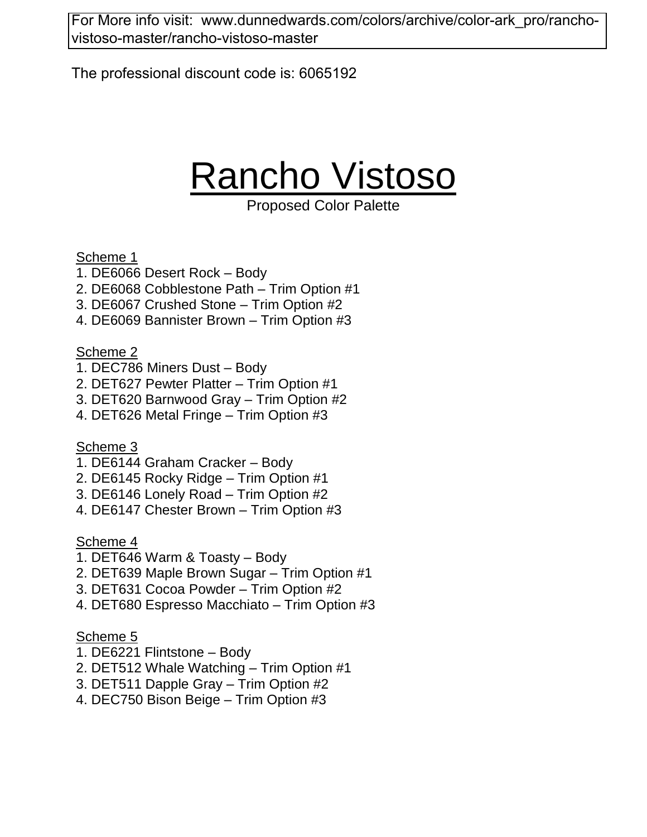[For More info visit: www.dunnedwards.com/colors/archive/color-ark\\_pro/rancho](www.dunnedwards.com/colors/archive/color-ark_pro/rancho-vistoso-master/rancho-vistoso-master)vistoso-master/rancho-vistoso-master

The professional discount code is: 6065192

# Rancho Vistoso

Proposed Color Palette

Scheme 1

- 1. DE6066 Desert Rock Body
- 2. DE6068 Cobblestone Path Trim Option #1
- 3. DE6067 Crushed Stone Trim Option #2
- 4. DE6069 Bannister Brown Trim Option #3

Scheme 2

- 1. DEC786 Miners Dust Body
- 2. DET627 Pewter Platter Trim Option #1
- 3. DET620 Barnwood Gray Trim Option #2
- 4. DET626 Metal Fringe Trim Option #3

Scheme 3

- 1. DE6144 Graham Cracker Body
- 2. DE6145 Rocky Ridge Trim Option #1
- 3. DE6146 Lonely Road Trim Option #2
- 4. DE6147 Chester Brown Trim Option #3

Scheme 4

- 1. DET646 Warm & Toasty Body
- 2. DET639 Maple Brown Sugar Trim Option #1
- 3. DET631 Cocoa Powder Trim Option #2
- 4. DET680 Espresso Macchiato Trim Option #3

- 1. DE6221 Flintstone Body
- 2. DET512 Whale Watching Trim Option #1
- 3. DET511 Dapple Gray Trim Option #2
- 4. DEC750 Bison Beige Trim Option #3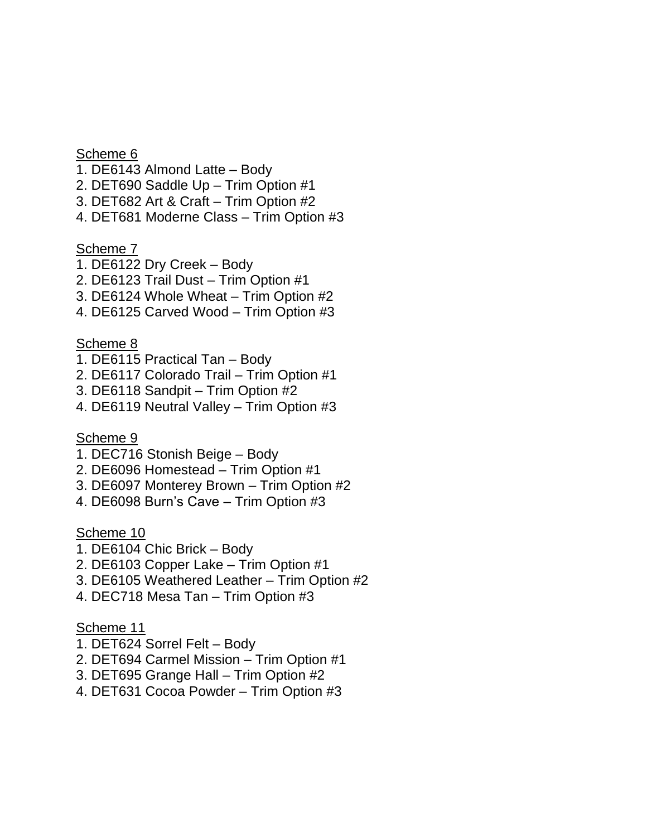#### Scheme 6

- 1. DE6143 Almond Latte Body
- 2. DET690 Saddle Up Trim Option #1
- 3. DET682 Art & Craft Trim Option #2
- 4. DET681 Moderne Class Trim Option #3

#### Scheme 7

- 1. DE6122 Dry Creek Body
- 2. DE6123 Trail Dust Trim Option #1
- 3. DE6124 Whole Wheat Trim Option #2
- 4. DE6125 Carved Wood Trim Option #3

#### Scheme 8

- 1. DE6115 Practical Tan Body
- 2. DE6117 Colorado Trail Trim Option #1
- 3. DE6118 Sandpit Trim Option #2
- 4. DE6119 Neutral Valley Trim Option #3

#### Scheme 9

- 1. DEC716 Stonish Beige Body
- 2. DE6096 Homestead Trim Option #1
- 3. DE6097 Monterey Brown Trim Option #2
- 4. DE6098 Burn's Cave Trim Option #3

#### Scheme 10

- 1. DE6104 Chic Brick Body
- 2. DE6103 Copper Lake Trim Option #1
- 3. DE6105 Weathered Leather Trim Option #2
- 4. DEC718 Mesa Tan Trim Option #3

- 1. DET624 Sorrel Felt Body
- 2. DET694 Carmel Mission Trim Option #1
- 3. DET695 Grange Hall Trim Option #2
- 4. DET631 Cocoa Powder Trim Option #3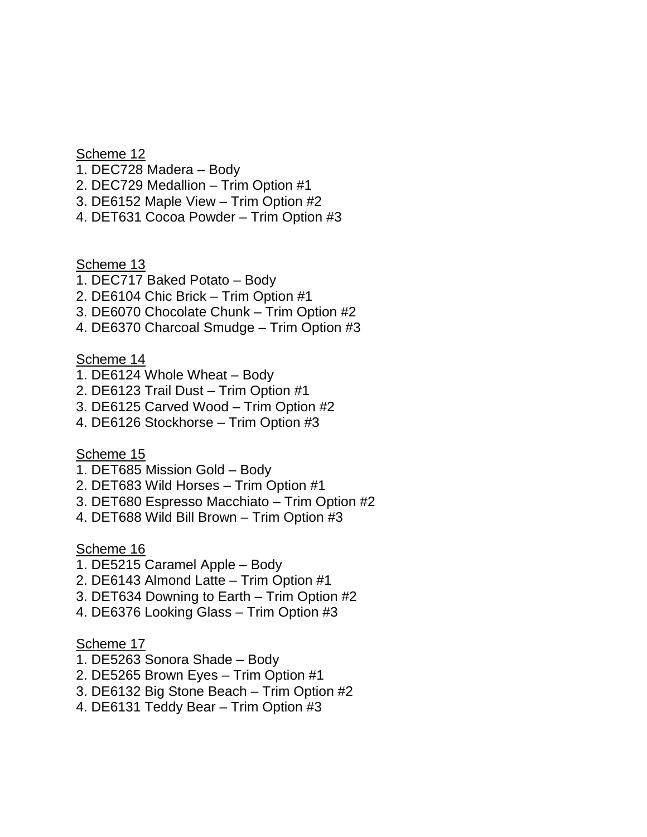Scheme 12

- 1. DEC728 Madera Body
- 2. DEC729 Medallion Trim Option #1
- 3. DE6152 Maple View Trim Option #2
- 4. DET631 Cocoa Powder Trim Option #3

Scheme 13

- 1. DEC717 Baked Potato Body
- 2. DE6104 Chic Brick Trim Option #1
- 3. DE6070 Chocolate Chunk Trim Option #2
- 4. DE6370 Charcoal Smudge Trim Option #3

Scheme 14

- 1. DE6124 Whole Wheat Body
- 2. DE6123 Trail Dust Trim Option #1
- 3. DE6125 Carved Wood Trim Option #2
- 4. DE6126 Stockhorse Trim Option #3

Scheme 15

- 1. DET685 Mission Gold Body
- 2. DET683 Wild Horses Trim Option #1
- 3. DET680 Espresso Macchiato Trim Option #2
- 4. DET688 Wild Bill Brown Trim Option #3

Scheme 16

- 1. DE5215 Caramel Apple Body
- 2. DE6143 Almond Latte Trim Option #1
- 3. DET634 Downing to Earth Trim Option #2
- 4. DE6376 Looking Glass Trim Option #3

- 1. DE5263 Sonora Shade Body
- 2. DE5265 Brown Eyes Trim Option #1
- 3. DE6132 Big Stone Beach Trim Option #2
- 4. DE6131 Teddy Bear Trim Option #3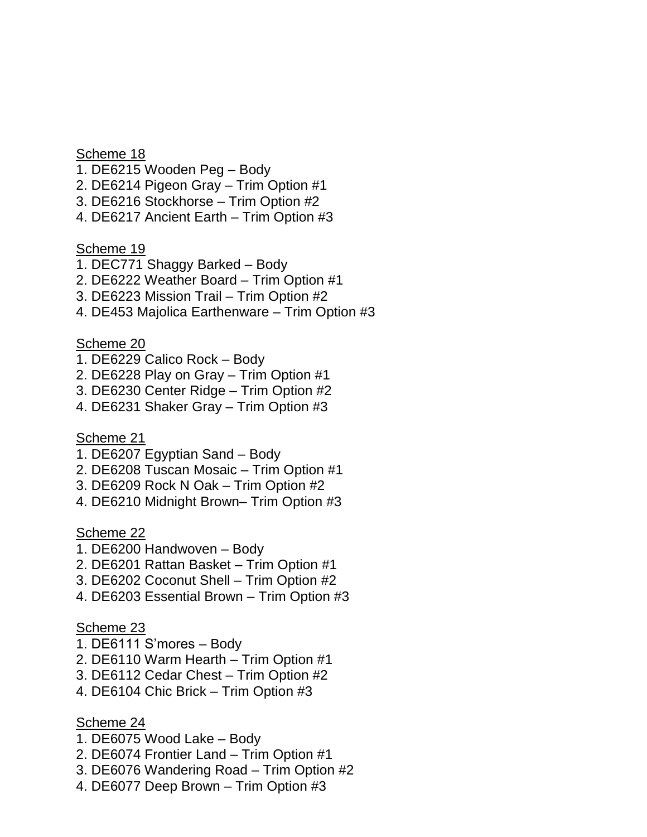Scheme 18

- 1. DE6215 Wooden Peg Body
- 2. DE6214 Pigeon Gray Trim Option #1
- 3. DE6216 Stockhorse Trim Option #2
- 4. DE6217 Ancient Earth Trim Option #3

Scheme 19

- 1. DEC771 Shaggy Barked Body
- 2. DE6222 Weather Board Trim Option #1
- 3. DE6223 Mission Trail Trim Option #2
- 4. DE453 Majolica Earthenware Trim Option #3

Scheme 20

- 1. DE6229 Calico Rock Body
- 2. DE6228 Play on Gray Trim Option #1
- 3. DE6230 Center Ridge Trim Option #2
- 4. DE6231 Shaker Gray Trim Option #3

Scheme 21

- 1. DE6207 Egyptian Sand Body
- 2. DE6208 Tuscan Mosaic Trim Option #1
- 3. DE6209 Rock N Oak Trim Option #2
- 4. DE6210 Midnight Brown– Trim Option #3

Scheme 22

- 1. DE6200 Handwoven Body
- 2. DE6201 Rattan Basket Trim Option #1
- 3. DE6202 Coconut Shell Trim Option #2
- 4. DE6203 Essential Brown Trim Option #3

## Scheme 23

- 1. DE6111 S'mores Body
- 2. DE6110 Warm Hearth Trim Option #1
- 3. DE6112 Cedar Chest Trim Option #2
- 4. DE6104 Chic Brick Trim Option #3

- 1. DE6075 Wood Lake Body
- 2. DE6074 Frontier Land Trim Option #1
- 3. DE6076 Wandering Road Trim Option #2
- 4. DE6077 Deep Brown Trim Option #3